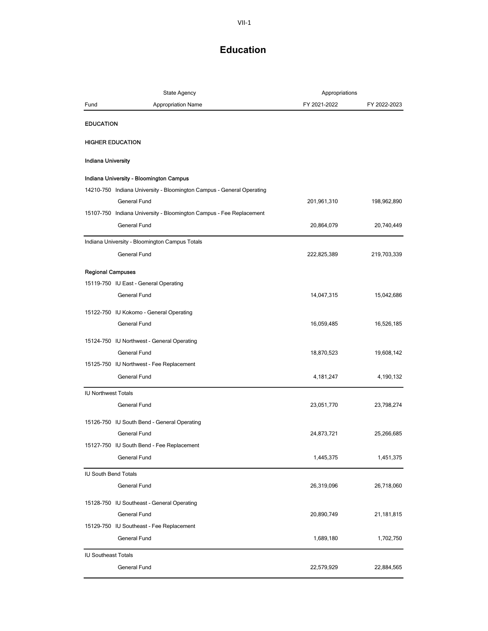| <b>State Agency</b>         |                                                                       | Appropriations |              |
|-----------------------------|-----------------------------------------------------------------------|----------------|--------------|
| Fund                        | <b>Appropriation Name</b>                                             | FY 2021-2022   | FY 2022-2023 |
| <b>EDUCATION</b>            |                                                                       |                |              |
|                             | <b>HIGHER EDUCATION</b>                                               |                |              |
| <b>Indiana University</b>   |                                                                       |                |              |
|                             | Indiana University - Bloomington Campus                               |                |              |
|                             | 14210-750 Indiana University - Bloomington Campus - General Operating |                |              |
|                             | General Fund                                                          | 201,961,310    | 198,962,890  |
|                             | 15107-750 Indiana University - Bloomington Campus - Fee Replacement   |                |              |
|                             | General Fund                                                          | 20,864,079     | 20,740,449   |
|                             | Indiana University - Bloomington Campus Totals                        |                |              |
|                             | General Fund                                                          | 222,825,389    | 219,703,339  |
| <b>Regional Campuses</b>    |                                                                       |                |              |
|                             | 15119-750 IU East - General Operating                                 |                |              |
|                             | <b>General Fund</b>                                                   | 14,047,315     | 15,042,686   |
|                             | 15122-750 IU Kokomo - General Operating                               |                |              |
|                             | General Fund                                                          | 16,059,485     | 16,526,185   |
|                             | 15124-750 IU Northwest - General Operating                            |                |              |
|                             | <b>General Fund</b>                                                   | 18,870,523     | 19,608,142   |
|                             | 15125-750 IU Northwest - Fee Replacement                              |                |              |
|                             | General Fund                                                          | 4,181,247      | 4,190,132    |
| <b>IU Northwest Totals</b>  |                                                                       |                |              |
|                             | General Fund                                                          | 23,051,770     | 23,798,274   |
|                             | 15126-750 IU South Bend - General Operating                           |                |              |
|                             | General Fund                                                          | 24,873,721     | 25,266,685   |
|                             | 15127-750 IU South Bend - Fee Replacement                             |                |              |
|                             | General Fund                                                          | 1,445,375      | 1,451,375    |
| <b>IU South Bend Totals</b> |                                                                       |                |              |
|                             | General Fund                                                          | 26,319,096     | 26,718,060   |
|                             | 15128-750 IU Southeast - General Operating                            |                |              |
|                             | General Fund                                                          | 20,890,749     | 21,181,815   |
|                             | 15129-750 IU Southeast - Fee Replacement                              |                |              |
|                             | General Fund                                                          | 1,689,180      | 1,702,750    |
| <b>IU Southeast Totals</b>  |                                                                       |                |              |
|                             | General Fund                                                          | 22,579,929     | 22,884,565   |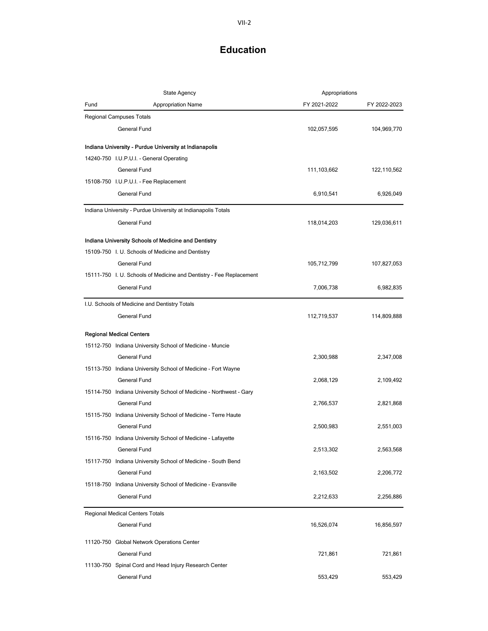|      | <b>State Agency</b>                                                 | Appropriations |              |
|------|---------------------------------------------------------------------|----------------|--------------|
| Fund | <b>Appropriation Name</b>                                           | FY 2021-2022   | FY 2022-2023 |
|      | <b>Regional Campuses Totals</b>                                     |                |              |
|      | <b>General Fund</b>                                                 | 102,057,595    | 104,969,770  |
|      | Indiana University - Purdue University at Indianapolis              |                |              |
|      | 14240-750 I.U.P.U.I. - General Operating                            |                |              |
|      | General Fund                                                        | 111,103,662    | 122,110,562  |
|      | 15108-750 I.U.P.U.I. - Fee Replacement                              |                |              |
|      | General Fund                                                        | 6,910,541      | 6,926,049    |
|      | Indiana University - Purdue University at Indianapolis Totals       |                |              |
|      | General Fund                                                        | 118,014,203    | 129,036,611  |
|      | Indiana University Schools of Medicine and Dentistry                |                |              |
|      | 15109-750 I. U. Schools of Medicine and Dentistry                   |                |              |
|      | <b>General Fund</b>                                                 | 105,712,799    | 107,827,053  |
|      | 15111-750 I. U. Schools of Medicine and Dentistry - Fee Replacement |                |              |
|      | <b>General Fund</b>                                                 | 7,006,738      | 6,982,835    |
|      | I.U. Schools of Medicine and Dentistry Totals                       |                |              |
|      | <b>General Fund</b>                                                 | 112,719,537    | 114,809,888  |
|      | <b>Regional Medical Centers</b>                                     |                |              |
|      | 15112-750 Indiana University School of Medicine - Muncie            |                |              |
|      | General Fund                                                        | 2,300,988      | 2,347,008    |
|      | 15113-750 Indiana University School of Medicine - Fort Wayne        |                |              |
|      | General Fund                                                        | 2,068,129      | 2,109,492    |
|      | 15114-750 Indiana University School of Medicine - Northwest - Gary  |                |              |
|      | <b>General Fund</b>                                                 | 2,766,537      | 2,821,868    |
|      | 15115-750 Indiana University School of Medicine - Terre Haute       |                |              |
|      | General Fund                                                        | 2,500,983      | 2,551,003    |
|      | 15116-750 Indiana University School of Medicine - Lafayette         |                |              |
|      | General Fund                                                        | 2,513,302      | 2,563,568    |
|      | 15117-750 Indiana University School of Medicine - South Bend        |                |              |
|      | General Fund                                                        | 2,163,502      | 2,206,772    |
|      | 15118-750 Indiana University School of Medicine - Evansville        |                |              |
|      | General Fund                                                        | 2,212,633      | 2,256,886    |
|      | <b>Regional Medical Centers Totals</b>                              |                |              |
|      | <b>General Fund</b>                                                 | 16,526,074     | 16,856,597   |
|      | 11120-750 Global Network Operations Center                          |                |              |
|      | General Fund                                                        | 721,861        | 721,861      |
|      | 11130-750 Spinal Cord and Head Injury Research Center               |                |              |
|      | General Fund                                                        | 553,429        | 553,429      |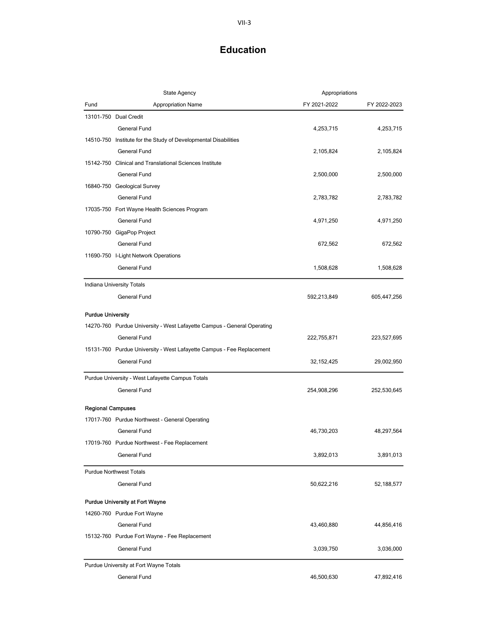|                          | State Agency                                                            | Appropriations |              |
|--------------------------|-------------------------------------------------------------------------|----------------|--------------|
| Fund                     | <b>Appropriation Name</b>                                               | FY 2021-2022   | FY 2022-2023 |
|                          | 13101-750 Dual Credit                                                   |                |              |
|                          | General Fund                                                            | 4,253,715      | 4,253,715    |
|                          | 14510-750 Institute for the Study of Developmental Disabilities         |                |              |
|                          | <b>General Fund</b>                                                     | 2,105,824      | 2,105,824    |
|                          | 15142-750 Clinical and Translational Sciences Institute                 |                |              |
|                          | General Fund                                                            | 2,500,000      | 2,500,000    |
|                          | 16840-750 Geological Survey                                             |                |              |
|                          | <b>General Fund</b>                                                     | 2,783,782      | 2,783,782    |
|                          | 17035-750 Fort Wayne Health Sciences Program                            |                |              |
|                          | General Fund                                                            | 4,971,250      | 4,971,250    |
|                          | 10790-750 GigaPop Project                                               |                |              |
|                          | General Fund                                                            | 672,562        | 672,562      |
|                          | 11690-750 I-Light Network Operations                                    |                |              |
|                          | General Fund                                                            | 1,508,628      | 1,508,628    |
|                          | Indiana University Totals                                               |                |              |
|                          | General Fund                                                            | 592,213,849    | 605,447,256  |
| <b>Purdue University</b> |                                                                         |                |              |
|                          | 14270-760 Purdue University - West Lafayette Campus - General Operating |                |              |
|                          | General Fund                                                            | 222,755,871    | 223,527,695  |
|                          | 15131-760 Purdue University - West Lafayette Campus - Fee Replacement   |                |              |
|                          | General Fund                                                            | 32, 152, 425   | 29,002,950   |
|                          | Purdue University - West Lafayette Campus Totals                        |                |              |
|                          | General Fund                                                            | 254,908,296    | 252,530,645  |
| <b>Regional Campuses</b> |                                                                         |                |              |
|                          | 17017-760 Purdue Northwest - General Operating                          |                |              |
|                          | General Fund                                                            | 46,730,203     | 48,297,564   |
|                          | 17019-760 Purdue Northwest - Fee Replacement                            |                |              |
|                          | General Fund                                                            | 3,892,013      | 3,891,013    |
|                          | <b>Purdue Northwest Totals</b>                                          |                |              |
|                          | General Fund                                                            | 50,622,216     | 52,188,577   |
|                          | <b>Purdue University at Fort Wayne</b>                                  |                |              |
|                          | 14260-760 Purdue Fort Wayne                                             |                |              |
|                          | General Fund                                                            | 43,460,880     | 44,856,416   |
|                          | 15132-760 Purdue Fort Wayne - Fee Replacement                           |                |              |
|                          | General Fund                                                            | 3,039,750      | 3,036,000    |
|                          | Purdue University at Fort Wayne Totals                                  |                |              |
|                          | General Fund                                                            | 46,500,630     | 47,892,416   |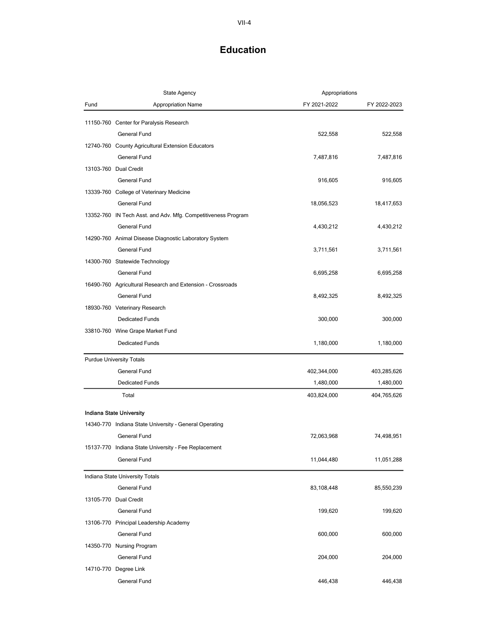|      | <b>State Agency</b>                                           | Appropriations |              |
|------|---------------------------------------------------------------|----------------|--------------|
| Fund | <b>Appropriation Name</b>                                     | FY 2021-2022   | FY 2022-2023 |
|      | 11150-760 Center for Paralysis Research                       |                |              |
|      | <b>General Fund</b>                                           | 522,558        | 522,558      |
|      | 12740-760 County Agricultural Extension Educators             |                |              |
|      | General Fund                                                  | 7,487,816      | 7,487,816    |
|      | 13103-760 Dual Credit                                         |                |              |
|      | General Fund                                                  | 916,605        | 916,605      |
|      | 13339-760 College of Veterinary Medicine                      |                |              |
|      | General Fund                                                  | 18,056,523     | 18,417,653   |
|      | 13352-760 IN Tech Asst. and Adv. Mfg. Competitiveness Program |                |              |
|      | General Fund                                                  | 4,430,212      | 4,430,212    |
|      | 14290-760 Animal Disease Diagnostic Laboratory System         |                |              |
|      | General Fund                                                  | 3,711,561      | 3,711,561    |
|      | 14300-760 Statewide Technology                                |                |              |
|      | <b>General Fund</b>                                           | 6,695,258      | 6,695,258    |
|      | 16490-760 Agricultural Research and Extension - Crossroads    |                |              |
|      | General Fund                                                  | 8,492,325      | 8,492,325    |
|      | 18930-760 Veterinary Research                                 |                |              |
|      | <b>Dedicated Funds</b>                                        | 300,000        | 300,000      |
|      | 33810-760 Wine Grape Market Fund                              |                |              |
|      | <b>Dedicated Funds</b>                                        | 1,180,000      | 1,180,000    |
|      | <b>Purdue University Totals</b>                               |                |              |
|      | General Fund                                                  | 402,344,000    | 403,285,626  |
|      | <b>Dedicated Funds</b>                                        | 1,480,000      | 1,480,000    |
|      | Total                                                         | 403,824,000    | 404,765,626  |
|      | <b>Indiana State University</b>                               |                |              |
|      | 14340-770 Indiana State University - General Operating        |                |              |
|      | General Fund                                                  | 72,063,968     | 74,498,951   |
|      | 15137-770 Indiana State University - Fee Replacement          |                |              |
|      | General Fund                                                  | 11,044,480     | 11,051,288   |
|      | Indiana State University Totals                               |                |              |
|      | General Fund                                                  | 83,108,448     | 85,550,239   |
|      | 13105-770 Dual Credit                                         |                |              |
|      | General Fund                                                  | 199,620        | 199,620      |
|      | 13106-770 Principal Leadership Academy                        |                |              |
|      | General Fund                                                  | 600,000        | 600,000      |
|      | 14350-770 Nursing Program                                     |                |              |
|      | General Fund                                                  | 204,000        | 204,000      |
|      | 14710-770 Degree Link                                         |                |              |
|      | General Fund                                                  | 446,438        | 446,438      |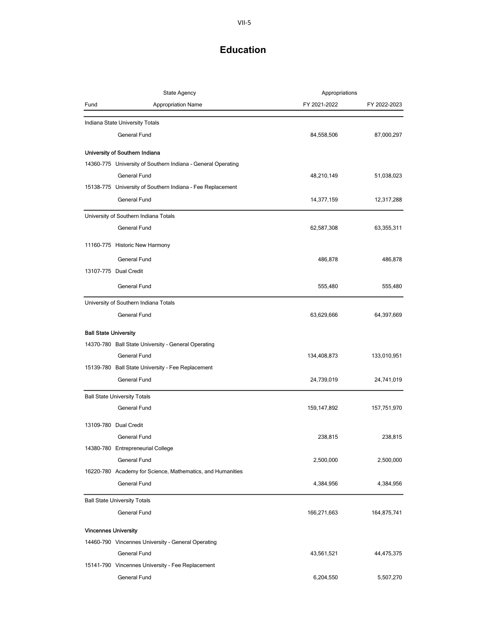| <b>State Agency</b>          |                                                              | Appropriations |              |
|------------------------------|--------------------------------------------------------------|----------------|--------------|
| Fund                         | <b>Appropriation Name</b>                                    | FY 2021-2022   | FY 2022-2023 |
|                              | Indiana State University Totals                              |                |              |
|                              | General Fund                                                 | 84,558,506     | 87,000,297   |
|                              | University of Southern Indiana                               |                |              |
|                              | 14360-775 University of Southern Indiana - General Operating |                |              |
|                              | General Fund                                                 | 48,210,149     | 51,038,023   |
|                              | 15138-775 University of Southern Indiana - Fee Replacement   |                |              |
|                              | General Fund                                                 | 14,377,159     | 12,317,288   |
|                              | University of Southern Indiana Totals                        |                |              |
|                              | <b>General Fund</b>                                          | 62,587,308     | 63,355,311   |
|                              | 11160-775 Historic New Harmony                               |                |              |
|                              | General Fund                                                 | 486,878        | 486,878      |
|                              | 13107-775 Dual Credit                                        |                |              |
|                              | General Fund                                                 | 555,480        | 555,480      |
|                              | University of Southern Indiana Totals                        |                |              |
|                              | <b>General Fund</b>                                          | 63,629,666     | 64,397,669   |
| <b>Ball State University</b> |                                                              |                |              |
|                              | 14370-780 Ball State University - General Operating          |                |              |
|                              | General Fund                                                 | 134,408,873    | 133,010,951  |
|                              | 15139-780 Ball State University - Fee Replacement            |                |              |
|                              | General Fund                                                 | 24,739,019     | 24,741,019   |
|                              | <b>Ball State University Totals</b>                          |                |              |
|                              | General Fund                                                 | 159,147,892    | 157,751,970  |
|                              | 13109-780 Dual Credit                                        |                |              |
|                              | General Fund                                                 | 238,815        | 238,815      |
|                              | 14380-780 Entrepreneurial College                            |                |              |
|                              | General Fund                                                 | 2,500,000      | 2,500,000    |
|                              | 16220-780 Academy for Science, Mathematics, and Humanities   |                |              |
|                              | General Fund                                                 | 4,384,956      | 4,384,956    |
|                              | <b>Ball State University Totals</b>                          |                |              |
|                              | General Fund                                                 | 166,271,663    | 164,875,741  |
|                              |                                                              |                |              |
| <b>Vincennes University</b>  |                                                              |                |              |
|                              | 14460-790 Vincennes University - General Operating           |                |              |
|                              | <b>General Fund</b>                                          | 43,561,521     | 44,475,375   |
|                              | 15141-790 Vincennes University - Fee Replacement             |                |              |
|                              | General Fund                                                 | 6,204,550      | 5,507,270    |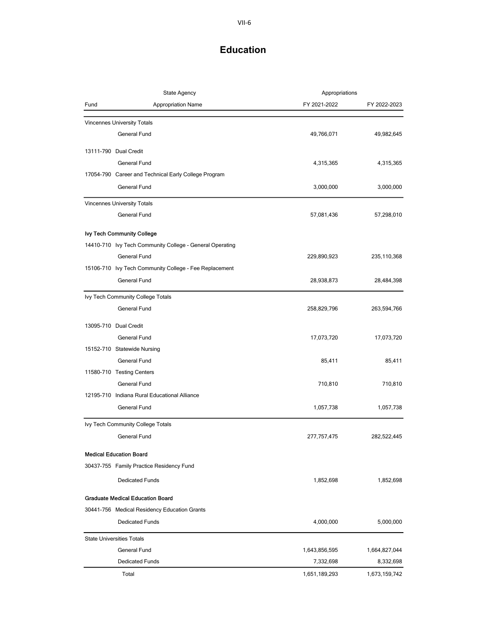| <b>State Agency</b> |                                                          | Appropriations |               |
|---------------------|----------------------------------------------------------|----------------|---------------|
| Fund                | <b>Appropriation Name</b>                                | FY 2021-2022   | FY 2022-2023  |
|                     | <b>Vincennes University Totals</b>                       |                |               |
|                     | <b>General Fund</b>                                      | 49,766,071     | 49,982,645    |
|                     |                                                          |                |               |
|                     | 13111-790 Dual Credit                                    |                |               |
|                     | General Fund                                             | 4,315,365      | 4,315,365     |
|                     | 17054-790 Career and Technical Early College Program     |                |               |
|                     | General Fund                                             | 3,000,000      | 3,000,000     |
|                     | Vincennes University Totals                              |                |               |
|                     | <b>General Fund</b>                                      | 57,081,436     | 57,298,010    |
|                     | Ivy Tech Community College                               |                |               |
|                     | 14410-710 Ivy Tech Community College - General Operating |                |               |
|                     | General Fund                                             | 229,890,923    | 235,110,368   |
|                     | 15106-710 Ivy Tech Community College - Fee Replacement   |                |               |
|                     | General Fund                                             | 28,938,873     | 28,484,398    |
|                     | Ivy Tech Community College Totals                        |                |               |
|                     | General Fund                                             | 258,829,796    | 263,594,766   |
|                     | 13095-710 Dual Credit                                    |                |               |
|                     | General Fund                                             | 17,073,720     | 17,073,720    |
|                     | 15152-710 Statewide Nursing                              |                |               |
|                     | General Fund                                             | 85,411         | 85,411        |
|                     | 11580-710 Testing Centers                                |                |               |
|                     | General Fund                                             | 710,810        | 710,810       |
|                     | 12195-710 Indiana Rural Educational Alliance             |                |               |
|                     | General Fund                                             | 1,057,738      | 1,057,738     |
|                     |                                                          |                |               |
|                     | Ivy Tech Community College Totals                        |                |               |
|                     | General Fund                                             | 277,757,475    | 282,522,445   |
|                     | <b>Medical Education Board</b>                           |                |               |
|                     | 30437-755 Family Practice Residency Fund                 |                |               |
|                     | <b>Dedicated Funds</b>                                   | 1,852,698      | 1,852,698     |
|                     | <b>Graduate Medical Education Board</b>                  |                |               |
|                     | 30441-756 Medical Residency Education Grants             |                |               |
|                     | <b>Dedicated Funds</b>                                   | 4,000,000      | 5,000,000     |
|                     |                                                          |                |               |
|                     | <b>State Universities Totals</b>                         |                |               |
|                     | General Fund                                             | 1,643,856,595  | 1,664,827,044 |
|                     | <b>Dedicated Funds</b>                                   | 7,332,698      | 8,332,698     |
|                     | Total                                                    | 1,651,189,293  | 1,673,159,742 |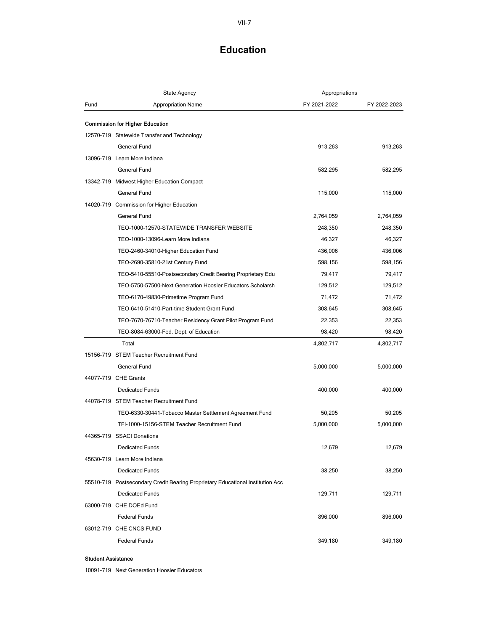|      | <b>State Agency</b>                                                            | Appropriations       |                      |
|------|--------------------------------------------------------------------------------|----------------------|----------------------|
| Fund | Appropriation Name                                                             | FY 2021-2022         | FY 2022-2023         |
|      |                                                                                |                      |                      |
|      | Commission for Higher Education<br>12570-719 Statewide Transfer and Technology |                      |                      |
|      | General Fund                                                                   | 913,263              | 913,263              |
|      | 13096-719 Learn More Indiana                                                   |                      |                      |
|      | General Fund                                                                   | 582,295              | 582,295              |
|      | 13342-719 Midwest Higher Education Compact                                     |                      |                      |
|      | General Fund                                                                   | 115,000              | 115,000              |
|      | 14020-719 Commission for Higher Education                                      |                      |                      |
|      | <b>General Fund</b>                                                            |                      |                      |
|      | TEO-1000-12570-STATEWIDE TRANSFER WEBSITE                                      | 2,764,059<br>248,350 | 2,764,059<br>248,350 |
|      |                                                                                |                      |                      |
|      | TEO-1000-13096-Learn More Indiana                                              | 46,327               | 46,327               |
|      | TEO-2460-34010-Higher Education Fund                                           | 436,006              | 436,006              |
|      | TEO-2690-35810-21st Century Fund                                               | 598,156              | 598,156              |
|      | TEO-5410-55510-Postsecondary Credit Bearing Proprietary Edu                    | 79,417               | 79,417               |
|      | TEO-5750-57500-Next Generation Hoosier Educators Scholarsh                     | 129,512              | 129,512              |
|      | TEO-6170-49830-Primetime Program Fund                                          | 71,472               | 71,472               |
|      | TEO-6410-51410-Part-time Student Grant Fund                                    | 308,645              | 308,645              |
|      | TEO-7670-76710-Teacher Residency Grant Pilot Program Fund                      | 22,353               | 22,353               |
|      | TEO-8084-63000-Fed. Dept. of Education                                         | 98,420               | 98,420               |
|      | Total                                                                          | 4,802,717            | 4,802,717            |
|      | 15156-719 STEM Teacher Recruitment Fund                                        |                      |                      |
|      | General Fund                                                                   | 5,000,000            | 5,000,000            |
|      | 44077-719 CHE Grants                                                           |                      |                      |
|      | <b>Dedicated Funds</b>                                                         | 400,000              | 400,000              |
|      | 44078-719 STEM Teacher Recruitment Fund                                        |                      |                      |
|      | TEO-6330-30441-Tobacco Master Settlement Agreement Fund                        | 50,205               | 50,205               |
|      | TFI-1000-15156-STEM Teacher Recruitment Fund                                   | 5,000,000            | 5,000,000            |
|      | 44365-719 SSACI Donations                                                      |                      |                      |
|      | Dedicated Funds                                                                | 12,679               | 12,679               |
|      | 45630-719 Learn More Indiana                                                   |                      |                      |
|      | <b>Dedicated Funds</b>                                                         | 38,250               | 38,250               |
|      | 55510-719 Postsecondary Credit Bearing Proprietary Educational Institution Acc |                      |                      |
|      | <b>Dedicated Funds</b>                                                         | 129,711              | 129,711              |
|      | 63000-719 CHE DOEd Fund                                                        |                      |                      |
|      | <b>Federal Funds</b>                                                           | 896,000              | 896,000              |
|      | 63012-719 CHE CNCS FUND                                                        |                      |                      |
|      | <b>Federal Funds</b>                                                           | 349,180              | 349,180              |

#### Student Assistance

10091-719 Next Generation Hoosier Educators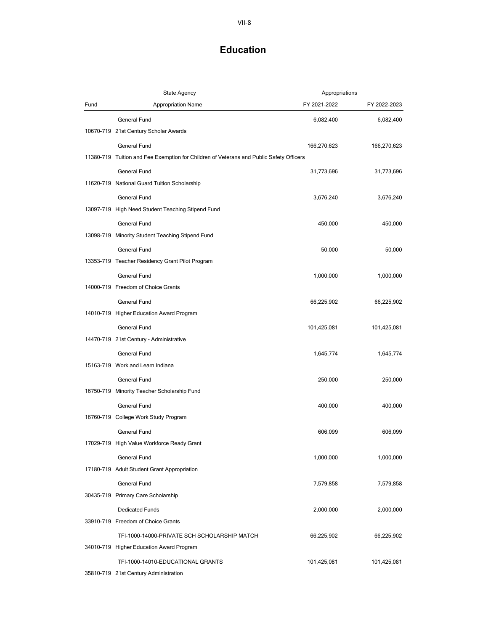|      | <b>State Agency</b>                                                                     | Appropriations |              |
|------|-----------------------------------------------------------------------------------------|----------------|--------------|
| Fund | <b>Appropriation Name</b>                                                               | FY 2021-2022   | FY 2022-2023 |
|      | <b>General Fund</b>                                                                     | 6,082,400      | 6,082,400    |
|      | 10670-719 21st Century Scholar Awards                                                   |                |              |
|      | General Fund                                                                            | 166,270,623    | 166,270,623  |
|      | 11380-719 Tuition and Fee Exemption for Children of Veterans and Public Safety Officers |                |              |
|      | General Fund                                                                            | 31,773,696     | 31,773,696   |
|      | 11620-719 National Guard Tuition Scholarship                                            |                |              |
|      | General Fund                                                                            | 3,676,240      | 3,676,240    |
|      | 13097-719 High Need Student Teaching Stipend Fund                                       |                |              |
|      | General Fund                                                                            | 450,000        | 450,000      |
|      | 13098-719 Minority Student Teaching Stipend Fund                                        |                |              |
|      | <b>General Fund</b>                                                                     | 50,000         | 50,000       |
|      | 13353-719 Teacher Residency Grant Pilot Program                                         |                |              |
|      | <b>General Fund</b>                                                                     | 1,000,000      | 1,000,000    |
|      | 14000-719 Freedom of Choice Grants                                                      |                |              |
|      | <b>General Fund</b>                                                                     | 66,225,902     | 66,225,902   |
|      | 14010-719 Higher Education Award Program                                                |                |              |
|      | General Fund                                                                            | 101,425,081    | 101,425,081  |
|      | 14470-719 21st Century - Administrative                                                 |                |              |
|      | <b>General Fund</b>                                                                     | 1,645,774      | 1,645,774    |
|      | 15163-719 Work and Learn Indiana                                                        |                |              |
|      | General Fund                                                                            | 250,000        | 250,000      |
|      | 16750-719 Minority Teacher Scholarship Fund                                             |                |              |
|      | <b>General Fund</b>                                                                     | 400,000        | 400,000      |
|      | 16760-719 College Work Study Program                                                    |                |              |
|      | <b>General Fund</b>                                                                     | 606,099        | 606,099      |
|      | 17029-719 High Value Workforce Ready Grant                                              |                |              |
|      | General Fund                                                                            | 1,000,000      | 1,000,000    |
|      | 17180-719 Adult Student Grant Appropriation                                             |                |              |
|      | General Fund                                                                            | 7,579,858      | 7,579,858    |
|      | 30435-719 Primary Care Scholarship                                                      |                |              |
|      | <b>Dedicated Funds</b>                                                                  | 2,000,000      | 2,000,000    |
|      | 33910-719 Freedom of Choice Grants                                                      |                |              |
|      | TFI-1000-14000-PRIVATE SCH SCHOLARSHIP MATCH                                            | 66,225,902     | 66,225,902   |
|      | 34010-719 Higher Education Award Program                                                |                |              |
|      | TFI-1000-14010-EDUCATIONAL GRANTS                                                       | 101,425,081    | 101,425,081  |
|      | 35810-719 21st Century Administration                                                   |                |              |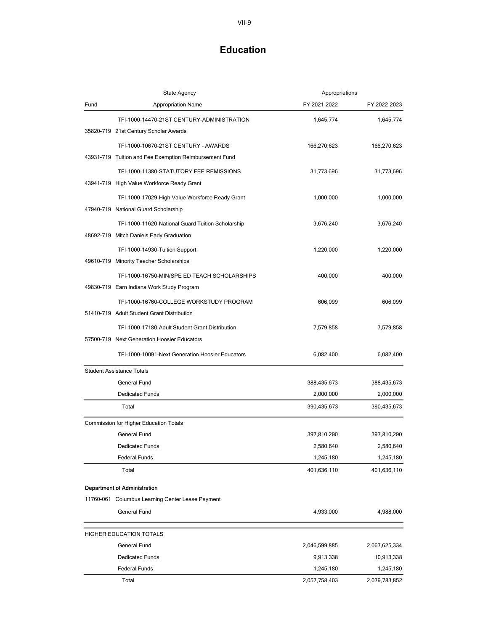|      | <b>State Agency</b>                                    | Appropriations |               |
|------|--------------------------------------------------------|----------------|---------------|
| Fund | <b>Appropriation Name</b>                              | FY 2021-2022   | FY 2022-2023  |
|      | TFI-1000-14470-21ST CENTURY-ADMINISTRATION             | 1,645,774      | 1,645,774     |
|      | 35820-719 21st Century Scholar Awards                  |                |               |
|      | TFI-1000-10670-21ST CENTURY - AWARDS                   | 166,270,623    | 166,270,623   |
|      | 43931-719 Tuition and Fee Exemption Reimbursement Fund |                |               |
|      | TFI-1000-11380-STATUTORY FEE REMISSIONS                | 31,773,696     | 31,773,696    |
|      | 43941-719 High Value Workforce Ready Grant             |                |               |
|      | TFI-1000-17029-High Value Workforce Ready Grant        | 1,000,000      | 1,000,000     |
|      | 47940-719 National Guard Scholarship                   |                |               |
|      | TFI-1000-11620-National Guard Tuition Scholarship      | 3,676,240      | 3,676,240     |
|      | 48692-719 Mitch Daniels Early Graduation               |                |               |
|      | TFI-1000-14930-Tuition Support                         | 1,220,000      | 1,220,000     |
|      | 49610-719 Minority Teacher Scholarships                |                |               |
|      | TFI-1000-16750-MIN/SPE ED TEACH SCHOLARSHIPS           | 400,000        | 400,000       |
|      | 49830-719 Earn Indiana Work Study Program              |                |               |
|      | TFI-1000-16760-COLLEGE WORKSTUDY PROGRAM               | 606,099        | 606,099       |
|      | 51410-719 Adult Student Grant Distribution             |                |               |
|      | TFI-1000-17180-Adult Student Grant Distribution        | 7,579,858      | 7,579,858     |
|      | 57500-719 Next Generation Hoosier Educators            |                |               |
|      | TFI-1000-10091-Next Generation Hoosier Educators       | 6,082,400      | 6,082,400     |
|      | <b>Student Assistance Totals</b>                       |                |               |
|      | <b>General Fund</b>                                    | 388,435,673    | 388,435,673   |
|      | <b>Dedicated Funds</b>                                 | 2,000,000      | 2,000,000     |
|      | Total                                                  | 390,435,673    | 390,435,673   |
|      | Commission for Higher Education Totals                 |                |               |
|      | <b>General Fund</b>                                    | 397,810,290    | 397,810,290   |
|      | <b>Dedicated Funds</b>                                 | 2.580.640      | 2,580,640     |
|      | <b>Federal Funds</b>                                   | 1,245,180      | 1,245,180     |
|      | Total                                                  | 401,636,110    | 401,636,110   |
|      | <b>Department of Administration</b>                    |                |               |
|      | 11760-061 Columbus Learning Center Lease Payment       |                |               |
|      | General Fund                                           | 4,933,000      | 4,988,000     |
|      | HIGHER EDUCATION TOTALS                                |                |               |
|      | General Fund                                           | 2,046,599,885  | 2,067,625,334 |
|      | <b>Dedicated Funds</b>                                 | 9,913,338      | 10,913,338    |
|      | <b>Federal Funds</b>                                   | 1,245,180      | 1,245,180     |
|      | Total                                                  | 2,057,758,403  | 2,079,783,852 |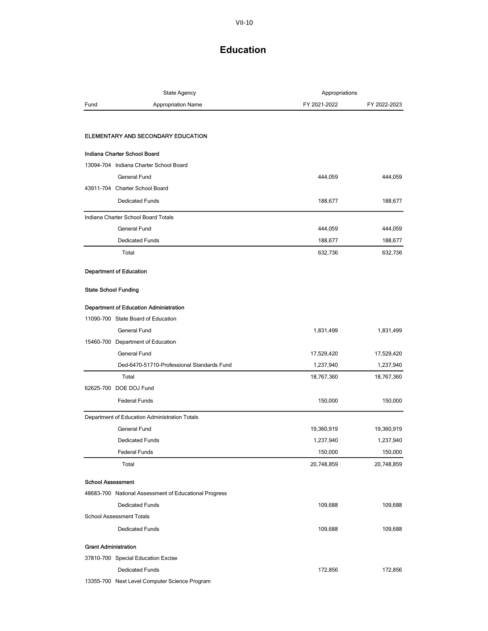#### VII-10

| State Agency                        |                                                       | Appropriations |              |
|-------------------------------------|-------------------------------------------------------|----------------|--------------|
| Fund                                | <b>Appropriation Name</b>                             | FY 2021-2022   | FY 2022-2023 |
|                                     |                                                       |                |              |
|                                     | ELEMENTARY AND SECONDARY EDUCATION                    |                |              |
| Indiana Charter School Board        |                                                       |                |              |
|                                     | 13094-704 Indiana Charter School Board                |                |              |
|                                     | <b>General Fund</b>                                   | 444,059        | 444,059      |
| 43911-704 Charter School Board      |                                                       |                |              |
|                                     | <b>Dedicated Funds</b>                                | 188,677        | 188,677      |
| Indiana Charter School Board Totals |                                                       |                |              |
|                                     | General Fund                                          | 444,059        | 444,059      |
|                                     | <b>Dedicated Funds</b>                                | 188,677        | 188,677      |
| Total                               |                                                       | 632,736        | 632,736      |
| <b>Department of Education</b>      |                                                       |                |              |
|                                     |                                                       |                |              |
| <b>State School Funding</b>         |                                                       |                |              |
|                                     | Department of Education Administration                |                |              |
|                                     | 11090-700 State Board of Education                    |                |              |
|                                     | General Fund                                          | 1,831,499      | 1,831,499    |
|                                     | 15460-700 Department of Education                     |                |              |
|                                     | <b>General Fund</b>                                   | 17,529,420     | 17,529,420   |
|                                     | Ded-6470-51710-Professional Standards Fund            | 1,237,940      | 1,237,940    |
| Total                               |                                                       | 18,767,360     | 18,767,360   |
| 62625-700 DOE DOJ Fund              |                                                       |                |              |
|                                     | <b>Federal Funds</b>                                  | 150,000        | 150,000      |
|                                     | Department of Education Administration Totals         |                |              |
|                                     | <b>General Fund</b>                                   | 19,360,919     | 19,360,919   |
|                                     | <b>Dedicated Funds</b>                                | 1,237,940      | 1,237,940    |
|                                     | <b>Federal Funds</b>                                  | 150,000        | 150,000      |
| Total                               |                                                       | 20,748,859     | 20,748,859   |
| <b>School Assessment</b>            |                                                       |                |              |
|                                     | 48683-700 National Assessment of Educational Progress |                |              |
|                                     | <b>Dedicated Funds</b>                                | 109,688        | 109,688      |
| <b>School Assessment Totals</b>     |                                                       |                |              |
|                                     | <b>Dedicated Funds</b>                                | 109,688        | 109,688      |
| <b>Grant Administration</b>         |                                                       |                |              |
|                                     | 37810-700 Special Education Excise                    |                |              |
|                                     | <b>Dedicated Funds</b>                                | 172,856        | 172,856      |
|                                     | 13355-700 Next Level Computer Science Program         |                |              |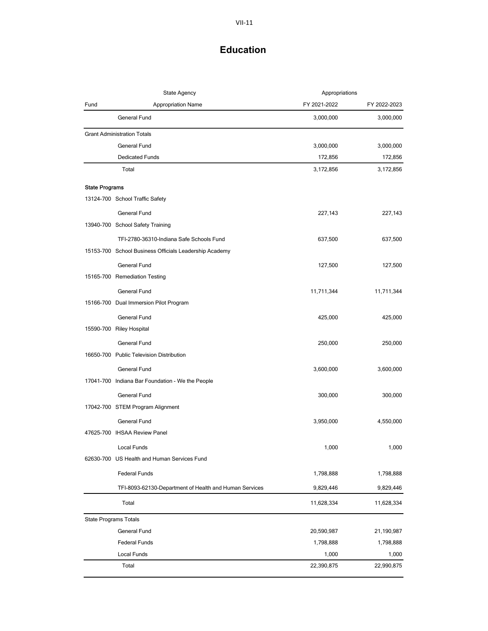| <b>State Agency</b>          |                                                        | Appropriations |              |
|------------------------------|--------------------------------------------------------|----------------|--------------|
| Fund                         | <b>Appropriation Name</b>                              | FY 2021-2022   | FY 2022-2023 |
|                              | General Fund                                           | 3,000,000      | 3,000,000    |
|                              | <b>Grant Administration Totals</b>                     |                |              |
|                              | General Fund                                           | 3,000,000      | 3,000,000    |
|                              | <b>Dedicated Funds</b>                                 | 172,856        | 172,856      |
|                              | Total                                                  | 3,172,856      | 3,172,856    |
| <b>State Programs</b>        |                                                        |                |              |
|                              | 13124-700 School Traffic Safety                        |                |              |
|                              | General Fund                                           | 227,143        | 227,143      |
|                              | 13940-700 School Safety Training                       |                |              |
|                              | TFI-2780-36310-Indiana Safe Schools Fund               | 637,500        | 637,500      |
|                              | 15153-700 School Business Officials Leadership Academy |                |              |
|                              | General Fund                                           | 127,500        | 127,500      |
|                              | 15165-700 Remediation Testing                          |                |              |
|                              | General Fund                                           | 11,711,344     | 11,711,344   |
|                              | 15166-700 Dual Immersion Pilot Program                 |                |              |
|                              | General Fund                                           | 425,000        | 425,000      |
|                              | 15590-700 Riley Hospital                               |                |              |
|                              | General Fund                                           | 250,000        | 250,000      |
|                              | 16650-700 Public Television Distribution               |                |              |
|                              | General Fund                                           | 3,600,000      | 3,600,000    |
|                              | 17041-700 Indiana Bar Foundation - We the People       |                |              |
|                              | General Fund                                           | 300,000        | 300,000      |
|                              | 17042-700 STEM Program Alignment                       |                |              |
|                              | General Fund                                           | 3,950,000      | 4,550,000    |
|                              | 47625-700 IHSAA Review Panel                           |                |              |
|                              | Local Funds                                            | 1,000          | 1,000        |
|                              | 62630-700 US Health and Human Services Fund            |                |              |
|                              | <b>Federal Funds</b>                                   | 1,798,888      | 1,798,888    |
|                              | TFI-8093-62130-Department of Health and Human Services | 9,829,446      | 9,829,446    |
|                              | Total                                                  | 11,628,334     | 11,628,334   |
| <b>State Programs Totals</b> |                                                        |                |              |
|                              | General Fund                                           | 20,590,987     | 21,190,987   |
|                              | <b>Federal Funds</b>                                   | 1,798,888      | 1,798,888    |
|                              | Local Funds                                            | 1,000          | 1,000        |
|                              | Total                                                  | 22,390,875     | 22,990,875   |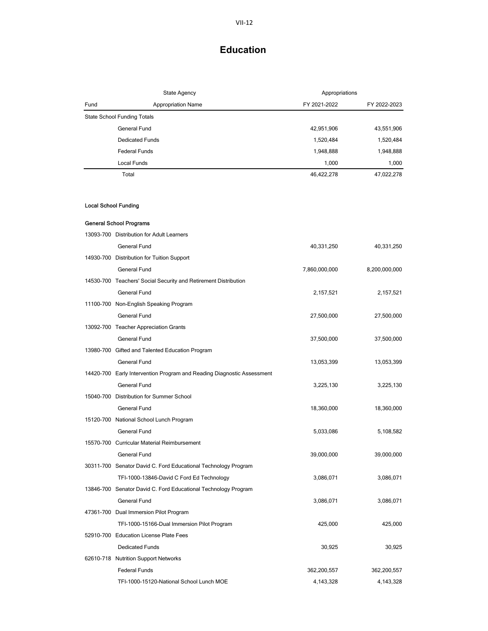|                             | State Agency                                                           | Appropriations |               |
|-----------------------------|------------------------------------------------------------------------|----------------|---------------|
| Fund                        | <b>Appropriation Name</b>                                              | FY 2021-2022   | FY 2022-2023  |
|                             | <b>State School Funding Totals</b>                                     |                |               |
|                             | <b>General Fund</b>                                                    | 42,951,906     | 43,551,906    |
|                             | <b>Dedicated Funds</b>                                                 | 1,520,484      | 1,520,484     |
|                             | <b>Federal Funds</b>                                                   | 1,948,888      | 1,948,888     |
|                             | Local Funds                                                            | 1,000          | 1,000         |
|                             | Total                                                                  | 46,422,278     | 47,022,278    |
|                             |                                                                        |                |               |
| <b>Local School Funding</b> |                                                                        |                |               |
|                             | <b>General School Programs</b>                                         |                |               |
|                             | 13093-700 Distribution for Adult Learners                              |                |               |
|                             | General Fund                                                           | 40,331,250     | 40,331,250    |
|                             | 14930-700 Distribution for Tuition Support                             |                |               |
|                             | General Fund                                                           | 7,860,000,000  | 8,200,000,000 |
|                             | 14530-700 Teachers' Social Security and Retirement Distribution        |                |               |
|                             | General Fund                                                           | 2,157,521      | 2,157,521     |
|                             | 11100-700 Non-English Speaking Program                                 |                |               |
|                             | General Fund                                                           | 27,500,000     | 27,500,000    |
|                             | 13092-700 Teacher Appreciation Grants                                  |                |               |
|                             | <b>General Fund</b>                                                    | 37,500,000     | 37,500,000    |
|                             | 13980-700 Gifted and Talented Education Program                        |                |               |
|                             | <b>General Fund</b>                                                    | 13,053,399     | 13,053,399    |
|                             | 14420-700 Early Intervention Program and Reading Diagnostic Assessment |                |               |
|                             | General Fund                                                           | 3,225,130      | 3,225,130     |
|                             | 15040-700 Distribution for Summer School                               |                |               |
|                             | General Fund                                                           | 18,360,000     | 18,360,000    |
|                             | 15120-700 National School Lunch Program                                |                |               |
|                             | General Fund                                                           | 5,033,086      | 5,108,582     |
|                             | 15570-700 Curricular Material Reimbursement                            |                |               |
|                             | General Fund                                                           | 39,000,000     | 39,000,000    |
|                             | 30311-700 Senator David C. Ford Educational Technology Program         |                |               |
|                             | TFI-1000-13846-David C Ford Ed Technology                              | 3,086,071      | 3,086,071     |
|                             | 13846-700 Senator David C. Ford Educational Technology Program         |                |               |
|                             | General Fund                                                           | 3,086,071      | 3,086,071     |
|                             | 47361-700 Dual Immersion Pilot Program                                 |                |               |
|                             | TFI-1000-15166-Dual Immersion Pilot Program                            | 425,000        | 425,000       |
|                             | 52910-700 Education License Plate Fees                                 |                |               |
|                             | <b>Dedicated Funds</b>                                                 | 30,925         | 30,925        |
|                             | 62610-718 Nutrition Support Networks                                   |                |               |
|                             | <b>Federal Funds</b>                                                   | 362,200,557    | 362,200,557   |
|                             | TFI-1000-15120-National School Lunch MOE                               | 4,143,328      | 4,143,328     |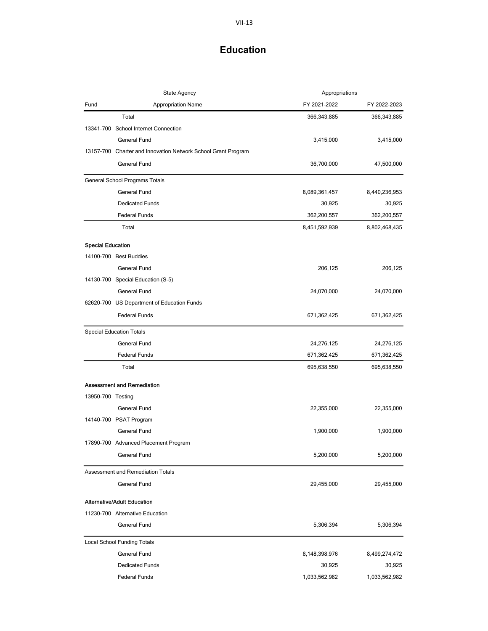|                          | State Agency                                                  | Appropriations |               |
|--------------------------|---------------------------------------------------------------|----------------|---------------|
| Fund                     | <b>Appropriation Name</b>                                     | FY 2021-2022   | FY 2022-2023  |
|                          | Total                                                         | 366,343,885    | 366,343,885   |
|                          | 13341-700 School Internet Connection                          |                |               |
|                          | General Fund                                                  | 3,415,000      | 3,415,000     |
|                          | 13157-700 Charter and Innovation Network School Grant Program |                |               |
|                          | General Fund                                                  | 36,700,000     | 47,500,000    |
|                          | General School Programs Totals                                |                |               |
|                          | <b>General Fund</b>                                           | 8,089,361,457  | 8,440,236,953 |
|                          | <b>Dedicated Funds</b>                                        | 30,925         | 30,925        |
|                          | <b>Federal Funds</b>                                          | 362,200,557    | 362,200,557   |
|                          | Total                                                         | 8,451,592,939  | 8,802,468,435 |
| <b>Special Education</b> |                                                               |                |               |
|                          | 14100-700 Best Buddies                                        |                |               |
|                          | General Fund                                                  | 206,125        | 206,125       |
|                          | 14130-700 Special Education (S-5)                             |                |               |
|                          | General Fund                                                  | 24,070,000     | 24,070,000    |
|                          | 62620-700 US Department of Education Funds                    |                |               |
|                          | <b>Federal Funds</b>                                          | 671,362,425    | 671,362,425   |
|                          | <b>Special Education Totals</b>                               |                |               |
|                          | <b>General Fund</b>                                           | 24,276,125     | 24,276,125    |
|                          | <b>Federal Funds</b>                                          | 671,362,425    | 671,362,425   |
|                          | Total                                                         | 695,638,550    | 695,638,550   |
|                          | <b>Assessment and Remediation</b>                             |                |               |
| 13950-700 Testing        |                                                               |                |               |
|                          | General Fund                                                  | 22,355,000     | 22,355,000    |
|                          | 14140-700 PSAT Program                                        |                |               |
|                          | <b>General Fund</b>                                           | 1,900,000      | 1,900,000     |
|                          | 17890-700 Advanced Placement Program                          |                |               |
|                          | General Fund                                                  | 5,200,000      | 5,200,000     |
|                          | Assessment and Remediation Totals                             |                |               |
|                          | General Fund                                                  | 29,455,000     | 29,455,000    |
|                          | <b>Alternative/Adult Education</b>                            |                |               |
|                          | 11230-700 Alternative Education                               |                |               |
|                          | General Fund                                                  | 5,306,394      | 5,306,394     |
|                          | <b>Local School Funding Totals</b>                            |                |               |
|                          | General Fund                                                  | 8,148,398,976  | 8,499,274,472 |
|                          | <b>Dedicated Funds</b>                                        | 30,925         | 30,925        |
|                          | <b>Federal Funds</b>                                          | 1,033,562,982  | 1,033,562,982 |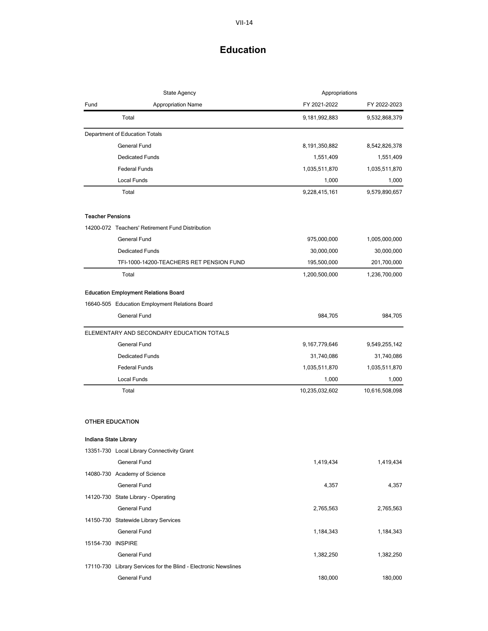|                         | <b>State Agency</b>                                             | Appropriations   |                |
|-------------------------|-----------------------------------------------------------------|------------------|----------------|
| Fund                    | <b>Appropriation Name</b>                                       | FY 2021-2022     | FY 2022-2023   |
|                         | Total                                                           | 9,181,992,883    | 9,532,868,379  |
|                         | Department of Education Totals                                  |                  |                |
|                         | General Fund                                                    | 8,191,350,882    | 8,542,826,378  |
|                         | <b>Dedicated Funds</b>                                          | 1,551,409        | 1,551,409      |
|                         | <b>Federal Funds</b>                                            | 1,035,511,870    | 1,035,511,870  |
|                         | Local Funds                                                     | 1,000            | 1,000          |
|                         | Total                                                           | 9,228,415,161    | 9,579,890,657  |
| <b>Teacher Pensions</b> |                                                                 |                  |                |
|                         | 14200-072 Teachers' Retirement Fund Distribution                |                  |                |
|                         | <b>General Fund</b>                                             | 975,000,000      | 1,005,000,000  |
|                         | <b>Dedicated Funds</b>                                          | 30,000,000       | 30,000,000     |
|                         | TFI-1000-14200-TEACHERS RET PENSION FUND                        | 195,500,000      | 201,700,000    |
|                         | Total                                                           | 1,200,500,000    | 1,236,700,000  |
|                         | <b>Education Employment Relations Board</b>                     |                  |                |
|                         | 16640-505 Education Employment Relations Board                  |                  |                |
|                         | <b>General Fund</b>                                             | 984,705          | 984,705        |
|                         | ELEMENTARY AND SECONDARY EDUCATION TOTALS                       |                  |                |
|                         | <b>General Fund</b>                                             | 9, 167, 779, 646 | 9,549,255,142  |
|                         | <b>Dedicated Funds</b>                                          | 31,740,086       | 31,740,086     |
|                         | <b>Federal Funds</b>                                            | 1,035,511,870    | 1,035,511,870  |
|                         | Local Funds                                                     | 1,000            | 1,000          |
|                         | Total                                                           | 10,235,032,602   | 10,616,508,098 |
| <b>OTHER EDUCATION</b>  |                                                                 |                  |                |
| Indiana State Library   |                                                                 |                  |                |
|                         | 13351-730 Local Library Connectivity Grant                      |                  |                |
|                         | General Fund                                                    | 1,419,434        | 1,419,434      |
|                         | 14080-730 Academy of Science                                    |                  |                |
|                         | General Fund                                                    | 4,357            | 4,357          |
|                         | 14120-730 State Library - Operating                             |                  |                |
|                         | General Fund                                                    | 2,765,563        | 2,765,563      |
|                         | 14150-730 Statewide Library Services                            |                  |                |
|                         | General Fund                                                    | 1,184,343        | 1,184,343      |
| 15154-730 INSPIRE       |                                                                 |                  |                |
|                         | <b>General Fund</b>                                             | 1,382,250        | 1,382,250      |
|                         | 17110-730 Library Services for the Blind - Electronic Newslines |                  |                |
|                         | General Fund                                                    | 180,000          | 180,000        |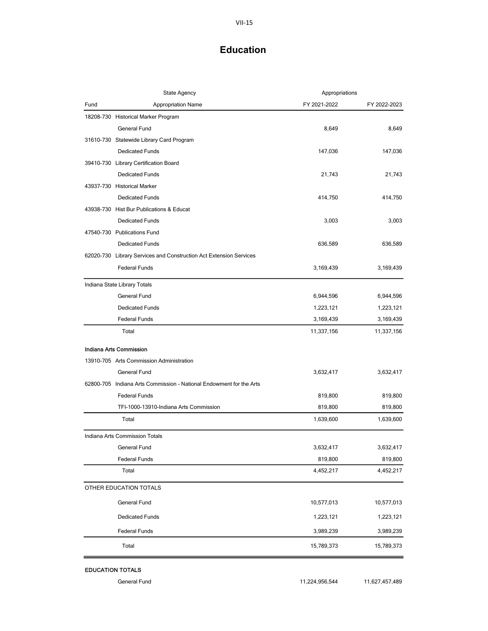| Fund<br><b>Appropriation Name</b><br>FY 2021-2022<br>FY 2022-2023<br>18208-730 Historical Marker Program<br>General Fund<br>8,649<br>8,649<br>31610-730 Statewide Library Card Program<br><b>Dedicated Funds</b><br>147,036<br>147,036<br>39410-730 Library Certification Board<br><b>Dedicated Funds</b><br>21,743<br>21,743<br>43937-730 Historical Marker<br><b>Dedicated Funds</b><br>414,750<br>414,750<br>43938-730 Hist Bur Publications & Educat<br><b>Dedicated Funds</b><br>3,003<br>3,003<br>47540-730 Publications Fund<br><b>Dedicated Funds</b><br>636,589<br>636,589<br>62020-730 Library Services and Construction Act Extension Services<br><b>Federal Funds</b><br>3,169,439<br>3,169,439<br>Indiana State Library Totals<br>General Fund<br>6,944,596<br>6,944,596<br><b>Dedicated Funds</b><br>1,223,121<br>1,223,121<br><b>Federal Funds</b><br>3,169,439<br>3,169,439<br>Total<br>11,337,156<br>11,337,156<br>Indiana Arts Commission<br>13910-705 Arts Commission Administration<br>General Fund<br>3,632,417<br>3,632,417<br>62800-705 Indiana Arts Commission - National Endowment for the Arts<br><b>Federal Funds</b><br>819,800<br>819,800<br>TFI-1000-13910-Indiana Arts Commission<br>819,800<br>819,800<br>Total<br>1,639,600<br>1,639,600<br>Indiana Arts Commission Totals<br>General Fund<br>3,632,417<br>3,632,417<br><b>Federal Funds</b><br>819,800<br>819,800<br>4,452,217<br>4,452,217<br>Total<br>OTHER EDUCATION TOTALS<br>General Fund<br>10,577,013<br>10,577,013<br><b>Dedicated Funds</b><br>1,223,121<br>1,223,121<br>3,989,239<br>3,989,239<br><b>Federal Funds</b><br>Total<br>15,789,373<br>15,789,373 | <b>State Agency</b> | Appropriations |  |
|---------------------------------------------------------------------------------------------------------------------------------------------------------------------------------------------------------------------------------------------------------------------------------------------------------------------------------------------------------------------------------------------------------------------------------------------------------------------------------------------------------------------------------------------------------------------------------------------------------------------------------------------------------------------------------------------------------------------------------------------------------------------------------------------------------------------------------------------------------------------------------------------------------------------------------------------------------------------------------------------------------------------------------------------------------------------------------------------------------------------------------------------------------------------------------------------------------------------------------------------------------------------------------------------------------------------------------------------------------------------------------------------------------------------------------------------------------------------------------------------------------------------------------------------------------------------------------------------------------------------------------------------------------|---------------------|----------------|--|
|                                                                                                                                                                                                                                                                                                                                                                                                                                                                                                                                                                                                                                                                                                                                                                                                                                                                                                                                                                                                                                                                                                                                                                                                                                                                                                                                                                                                                                                                                                                                                                                                                                                         |                     |                |  |
|                                                                                                                                                                                                                                                                                                                                                                                                                                                                                                                                                                                                                                                                                                                                                                                                                                                                                                                                                                                                                                                                                                                                                                                                                                                                                                                                                                                                                                                                                                                                                                                                                                                         |                     |                |  |
|                                                                                                                                                                                                                                                                                                                                                                                                                                                                                                                                                                                                                                                                                                                                                                                                                                                                                                                                                                                                                                                                                                                                                                                                                                                                                                                                                                                                                                                                                                                                                                                                                                                         |                     |                |  |
|                                                                                                                                                                                                                                                                                                                                                                                                                                                                                                                                                                                                                                                                                                                                                                                                                                                                                                                                                                                                                                                                                                                                                                                                                                                                                                                                                                                                                                                                                                                                                                                                                                                         |                     |                |  |
|                                                                                                                                                                                                                                                                                                                                                                                                                                                                                                                                                                                                                                                                                                                                                                                                                                                                                                                                                                                                                                                                                                                                                                                                                                                                                                                                                                                                                                                                                                                                                                                                                                                         |                     |                |  |
|                                                                                                                                                                                                                                                                                                                                                                                                                                                                                                                                                                                                                                                                                                                                                                                                                                                                                                                                                                                                                                                                                                                                                                                                                                                                                                                                                                                                                                                                                                                                                                                                                                                         |                     |                |  |
|                                                                                                                                                                                                                                                                                                                                                                                                                                                                                                                                                                                                                                                                                                                                                                                                                                                                                                                                                                                                                                                                                                                                                                                                                                                                                                                                                                                                                                                                                                                                                                                                                                                         |                     |                |  |
|                                                                                                                                                                                                                                                                                                                                                                                                                                                                                                                                                                                                                                                                                                                                                                                                                                                                                                                                                                                                                                                                                                                                                                                                                                                                                                                                                                                                                                                                                                                                                                                                                                                         |                     |                |  |
|                                                                                                                                                                                                                                                                                                                                                                                                                                                                                                                                                                                                                                                                                                                                                                                                                                                                                                                                                                                                                                                                                                                                                                                                                                                                                                                                                                                                                                                                                                                                                                                                                                                         |                     |                |  |
|                                                                                                                                                                                                                                                                                                                                                                                                                                                                                                                                                                                                                                                                                                                                                                                                                                                                                                                                                                                                                                                                                                                                                                                                                                                                                                                                                                                                                                                                                                                                                                                                                                                         |                     |                |  |
|                                                                                                                                                                                                                                                                                                                                                                                                                                                                                                                                                                                                                                                                                                                                                                                                                                                                                                                                                                                                                                                                                                                                                                                                                                                                                                                                                                                                                                                                                                                                                                                                                                                         |                     |                |  |
|                                                                                                                                                                                                                                                                                                                                                                                                                                                                                                                                                                                                                                                                                                                                                                                                                                                                                                                                                                                                                                                                                                                                                                                                                                                                                                                                                                                                                                                                                                                                                                                                                                                         |                     |                |  |
|                                                                                                                                                                                                                                                                                                                                                                                                                                                                                                                                                                                                                                                                                                                                                                                                                                                                                                                                                                                                                                                                                                                                                                                                                                                                                                                                                                                                                                                                                                                                                                                                                                                         |                     |                |  |
|                                                                                                                                                                                                                                                                                                                                                                                                                                                                                                                                                                                                                                                                                                                                                                                                                                                                                                                                                                                                                                                                                                                                                                                                                                                                                                                                                                                                                                                                                                                                                                                                                                                         |                     |                |  |
|                                                                                                                                                                                                                                                                                                                                                                                                                                                                                                                                                                                                                                                                                                                                                                                                                                                                                                                                                                                                                                                                                                                                                                                                                                                                                                                                                                                                                                                                                                                                                                                                                                                         |                     |                |  |
|                                                                                                                                                                                                                                                                                                                                                                                                                                                                                                                                                                                                                                                                                                                                                                                                                                                                                                                                                                                                                                                                                                                                                                                                                                                                                                                                                                                                                                                                                                                                                                                                                                                         |                     |                |  |
|                                                                                                                                                                                                                                                                                                                                                                                                                                                                                                                                                                                                                                                                                                                                                                                                                                                                                                                                                                                                                                                                                                                                                                                                                                                                                                                                                                                                                                                                                                                                                                                                                                                         |                     |                |  |
|                                                                                                                                                                                                                                                                                                                                                                                                                                                                                                                                                                                                                                                                                                                                                                                                                                                                                                                                                                                                                                                                                                                                                                                                                                                                                                                                                                                                                                                                                                                                                                                                                                                         |                     |                |  |
|                                                                                                                                                                                                                                                                                                                                                                                                                                                                                                                                                                                                                                                                                                                                                                                                                                                                                                                                                                                                                                                                                                                                                                                                                                                                                                                                                                                                                                                                                                                                                                                                                                                         |                     |                |  |
|                                                                                                                                                                                                                                                                                                                                                                                                                                                                                                                                                                                                                                                                                                                                                                                                                                                                                                                                                                                                                                                                                                                                                                                                                                                                                                                                                                                                                                                                                                                                                                                                                                                         |                     |                |  |
|                                                                                                                                                                                                                                                                                                                                                                                                                                                                                                                                                                                                                                                                                                                                                                                                                                                                                                                                                                                                                                                                                                                                                                                                                                                                                                                                                                                                                                                                                                                                                                                                                                                         |                     |                |  |
|                                                                                                                                                                                                                                                                                                                                                                                                                                                                                                                                                                                                                                                                                                                                                                                                                                                                                                                                                                                                                                                                                                                                                                                                                                                                                                                                                                                                                                                                                                                                                                                                                                                         |                     |                |  |
|                                                                                                                                                                                                                                                                                                                                                                                                                                                                                                                                                                                                                                                                                                                                                                                                                                                                                                                                                                                                                                                                                                                                                                                                                                                                                                                                                                                                                                                                                                                                                                                                                                                         |                     |                |  |
|                                                                                                                                                                                                                                                                                                                                                                                                                                                                                                                                                                                                                                                                                                                                                                                                                                                                                                                                                                                                                                                                                                                                                                                                                                                                                                                                                                                                                                                                                                                                                                                                                                                         |                     |                |  |
|                                                                                                                                                                                                                                                                                                                                                                                                                                                                                                                                                                                                                                                                                                                                                                                                                                                                                                                                                                                                                                                                                                                                                                                                                                                                                                                                                                                                                                                                                                                                                                                                                                                         |                     |                |  |
|                                                                                                                                                                                                                                                                                                                                                                                                                                                                                                                                                                                                                                                                                                                                                                                                                                                                                                                                                                                                                                                                                                                                                                                                                                                                                                                                                                                                                                                                                                                                                                                                                                                         |                     |                |  |
|                                                                                                                                                                                                                                                                                                                                                                                                                                                                                                                                                                                                                                                                                                                                                                                                                                                                                                                                                                                                                                                                                                                                                                                                                                                                                                                                                                                                                                                                                                                                                                                                                                                         |                     |                |  |
|                                                                                                                                                                                                                                                                                                                                                                                                                                                                                                                                                                                                                                                                                                                                                                                                                                                                                                                                                                                                                                                                                                                                                                                                                                                                                                                                                                                                                                                                                                                                                                                                                                                         |                     |                |  |
|                                                                                                                                                                                                                                                                                                                                                                                                                                                                                                                                                                                                                                                                                                                                                                                                                                                                                                                                                                                                                                                                                                                                                                                                                                                                                                                                                                                                                                                                                                                                                                                                                                                         |                     |                |  |
|                                                                                                                                                                                                                                                                                                                                                                                                                                                                                                                                                                                                                                                                                                                                                                                                                                                                                                                                                                                                                                                                                                                                                                                                                                                                                                                                                                                                                                                                                                                                                                                                                                                         |                     |                |  |
|                                                                                                                                                                                                                                                                                                                                                                                                                                                                                                                                                                                                                                                                                                                                                                                                                                                                                                                                                                                                                                                                                                                                                                                                                                                                                                                                                                                                                                                                                                                                                                                                                                                         |                     |                |  |
|                                                                                                                                                                                                                                                                                                                                                                                                                                                                                                                                                                                                                                                                                                                                                                                                                                                                                                                                                                                                                                                                                                                                                                                                                                                                                                                                                                                                                                                                                                                                                                                                                                                         |                     |                |  |
|                                                                                                                                                                                                                                                                                                                                                                                                                                                                                                                                                                                                                                                                                                                                                                                                                                                                                                                                                                                                                                                                                                                                                                                                                                                                                                                                                                                                                                                                                                                                                                                                                                                         |                     |                |  |
|                                                                                                                                                                                                                                                                                                                                                                                                                                                                                                                                                                                                                                                                                                                                                                                                                                                                                                                                                                                                                                                                                                                                                                                                                                                                                                                                                                                                                                                                                                                                                                                                                                                         |                     |                |  |
|                                                                                                                                                                                                                                                                                                                                                                                                                                                                                                                                                                                                                                                                                                                                                                                                                                                                                                                                                                                                                                                                                                                                                                                                                                                                                                                                                                                                                                                                                                                                                                                                                                                         |                     |                |  |
|                                                                                                                                                                                                                                                                                                                                                                                                                                                                                                                                                                                                                                                                                                                                                                                                                                                                                                                                                                                                                                                                                                                                                                                                                                                                                                                                                                                                                                                                                                                                                                                                                                                         |                     |                |  |

EDUCATION TOTALS